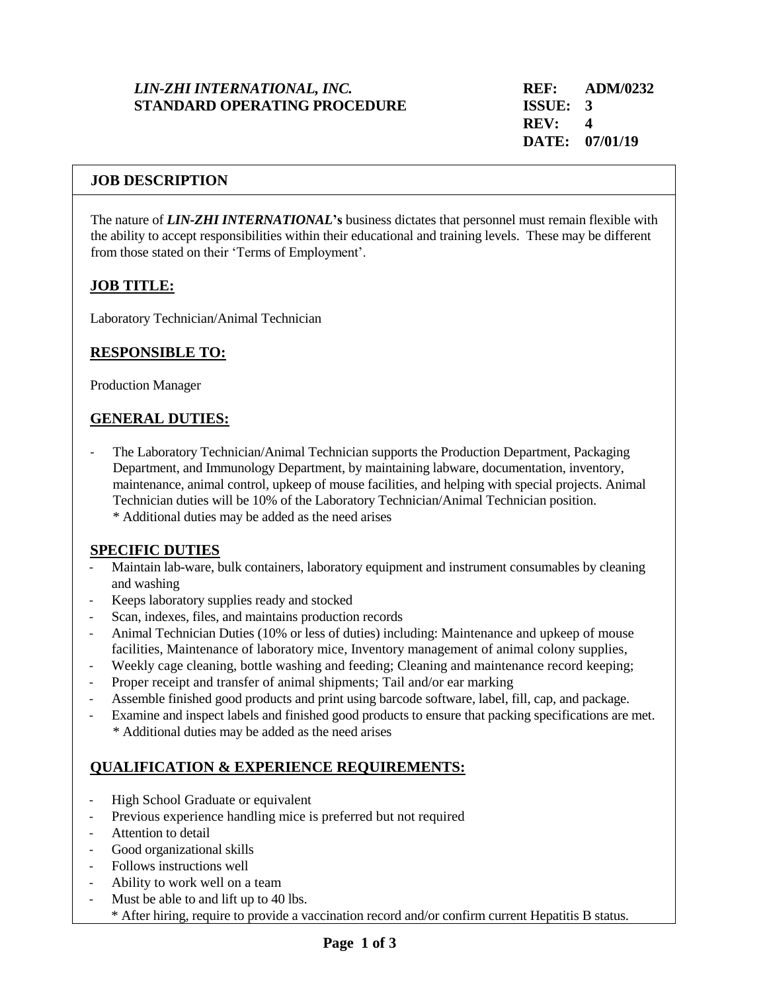# *LIN-ZHI INTERNATIONAL, INC.* **REF: ADM/0232 STANDARD OPERATING PROCEDURE ISSUE: 3**

#### **JOB DESCRIPTION**

The nature of *LIN-ZHI INTERNATIONAL***'s** business dictates that personnel must remain flexible with the ability to accept responsibilities within their educational and training levels. These may be different from those stated on their 'Terms of Employment'.

### **JOB TITLE:**

Laboratory Technician/Animal Technician

### **RESPONSIBLE TO:**

Production Manager

# **GENERAL DUTIES:**

- The Laboratory Technician/Animal Technician supports the Production Department, Packaging Department, and Immunology Department, by maintaining labware, documentation, inventory, maintenance, animal control, upkeep of mouse facilities, and helping with special projects. Animal Technician duties will be 10% of the Laboratory Technician/Animal Technician position. \* Additional duties may be added as the need arises

### **SPECIFIC DUTIES**

- Maintain lab-ware, bulk containers, laboratory equipment and instrument consumables by cleaning and washing
- Keeps laboratory supplies ready and stocked
- Scan, indexes, files, and maintains production records
- Animal Technician Duties (10% or less of duties) including: Maintenance and upkeep of mouse facilities, Maintenance of laboratory mice, Inventory management of animal colony supplies,
- Weekly cage cleaning, bottle washing and feeding; Cleaning and maintenance record keeping;
- Proper receipt and transfer of animal shipments; Tail and/or ear marking
- Assemble finished good products and print using barcode software, label, fill, cap, and package.
- Examine and inspect labels and finished good products to ensure that packing specifications are met. \* Additional duties may be added as the need arises

### **QUALIFICATION & EXPERIENCE REQUIREMENTS:**

- High School Graduate or equivalent
- Previous experience handling mice is preferred but not required
- Attention to detail
- Good organizational skills
- Follows instructions well
- Ability to work well on a team
- Must be able to and lift up to 40 lbs.
	- \* After hiring, require to provide a vaccination record and/or confirm current Hepatitis B status.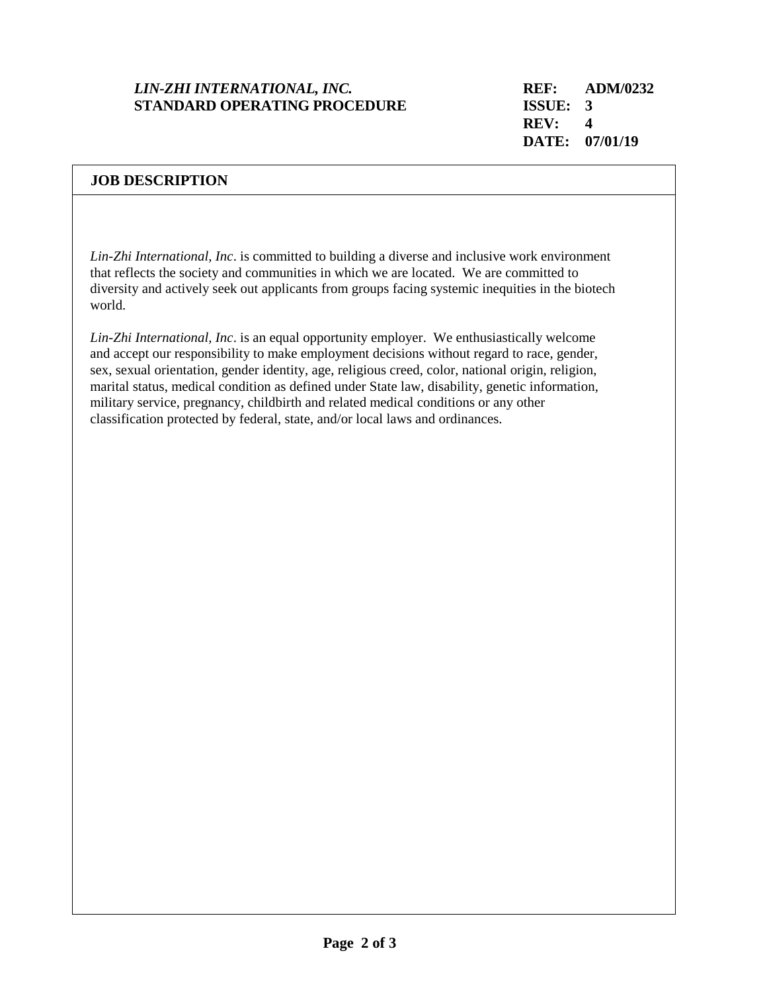# *LIN-ZHI INTERNATIONAL, INC.* **REF: ADM/0232 STANDARD OPERATING PROCEDURE ISSUE: 3**

#### **JOB DESCRIPTION**

*Lin-Zhi International, Inc*. is committed to building a diverse and inclusive work environment that reflects the society and communities in which we are located. We are committed to diversity and actively seek out applicants from groups facing systemic inequities in the biotech world.

*Lin-Zhi International, Inc*. is an equal opportunity employer. We enthusiastically welcome and accept our responsibility to make employment decisions without regard to race, gender, sex, sexual orientation, gender identity, age, religious creed, color, national origin, religion, marital status, medical condition as defined under State law, disability, genetic information, military service, pregnancy, childbirth and related medical conditions or any other classification protected by federal, state, and/or local laws and ordinances.